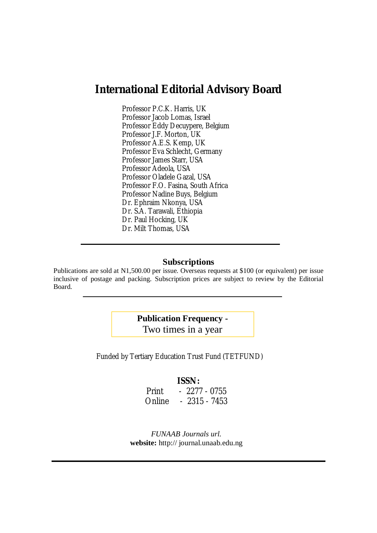# **International Editorial Advisory Board**

Professor P.C.K. Harris, UK Professor Jacob Lomas, Israel Professor Eddy Decuypere, Belgium Professor J.F. Morton, UK Professor A.E.S. Kemp, UK Professor Eva Schlecht, Germany Professor James Starr, USA Professor Adeola, USA Professor Oladele Gazal, USA Professor F.O. Fasina, South Africa Professor Nadine Buys, Belgium Dr. Ephraim Nkonya, USA Dr. S.A. Tarawali, Ethiopia Dr. Paul Hocking, UK Dr. Milt Thomas, USA

### **Subscriptions**

Publications are sold at N1,500.00 per issue. Overseas requests at \$100 (or equivalent) per issue inclusive of postage and packing. Subscription prices are subject to review by the Editorial Board.

> **Publication Frequency -** Two times in a year

Funded by Tertiary Education Trust Fund (TETFUND)

### **ISSN:**

Print - 2277 - 0755 Online - 2315 - 7453

*FUNAAB Journals url.*  **website:** http:// journal.unaab.edu.ng